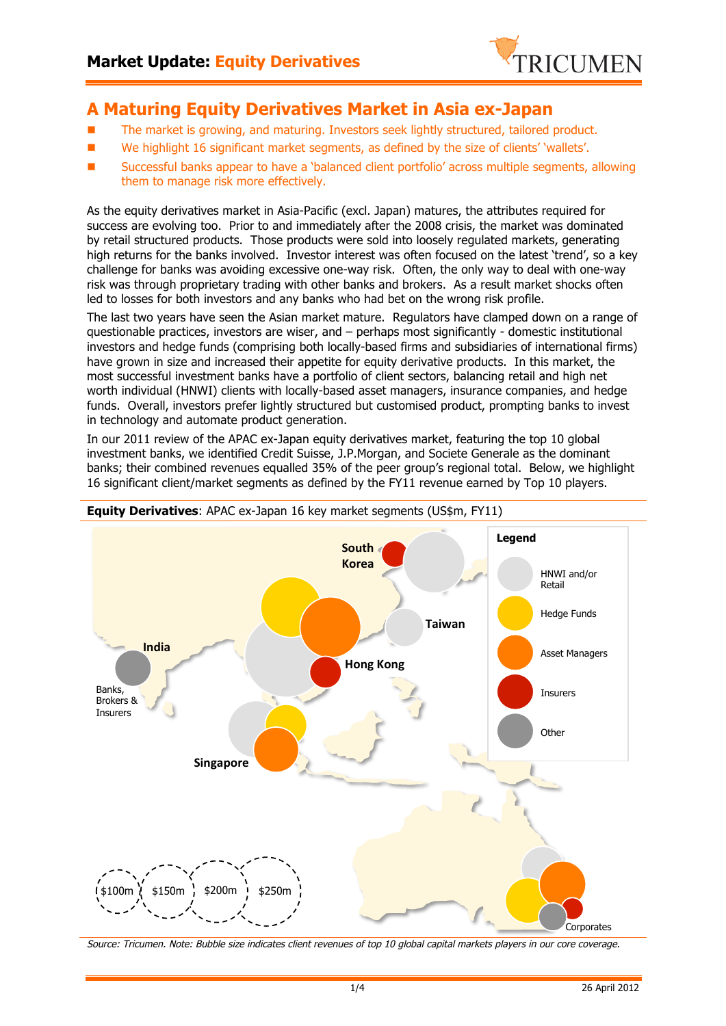

# **A Maturing Equity Derivatives Market in Asia ex-Japan**

- **n** The market is growing, and maturing. Investors seek lightly structured, tailored product.
- n We highlight 16 significant market segments, as defined by the size of clients' 'wallets'.
- Successful banks appear to have a 'balanced client portfolio' across multiple segments, allowing them to manage risk more effectively.

As the equity derivatives market in Asia-Pacific (excl. Japan) matures, the attributes required for success are evolving too. Prior to and immediately after the 2008 crisis, the market was dominated by retail structured products. Those products were sold into loosely regulated markets, generating high returns for the banks involved. Investor interest was often focused on the latest 'trend', so a key challenge for banks was avoiding excessive one-way risk. Often, the only way to deal with one-way risk was through proprietary trading with other banks and brokers. As a result market shocks often led to losses for both investors and any banks who had bet on the wrong risk profile.

The last two years have seen the Asian market mature. Regulators have clamped down on a range of questionable practices, investors are wiser, and – perhaps most significantly - domestic institutional investors and hedge funds (comprising both locally-based firms and subsidiaries of international firms) have grown in size and increased their appetite for equity derivative products. In this market, the most successful investment banks have a portfolio of client sectors, balancing retail and high net worth individual (HNWI) clients with locally-based asset managers, insurance companies, and hedge funds. Overall, investors prefer lightly structured but customised product, prompting banks to invest in technology and automate product generation.

In our 2011 review of the APAC ex-Japan equity derivatives market, featuring the top 10 global investment banks, we identified Credit Suisse, J.P.Morgan, and Societe Generale as the dominant banks; their combined revenues equalled 35% of the peer group's regional total. Below, we highlight 16 significant client/market segments as defined by the FY11 revenue earned by Top 10 players.



Source: Tricumen. Note: Bubble size indicates client revenues of top 10 global capital markets players in our core coverage.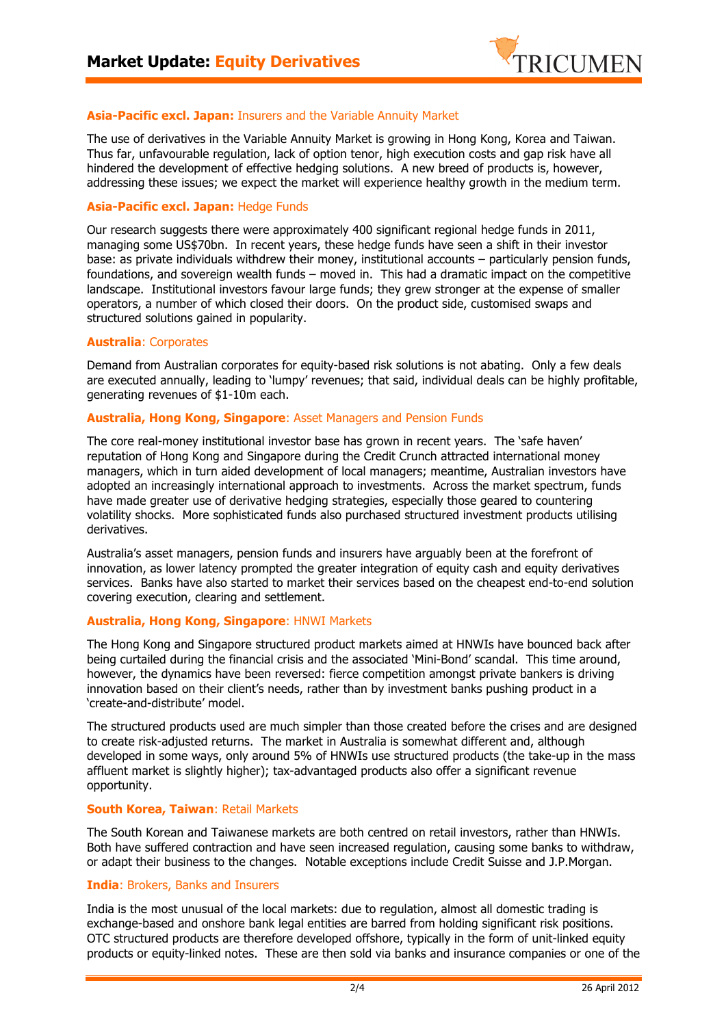

## **Asia-Pacific excl. Japan:** Insurers and the Variable Annuity Market

The use of derivatives in the Variable Annuity Market is growing in Hong Kong, Korea and Taiwan. Thus far, unfavourable regulation, lack of option tenor, high execution costs and gap risk have all hindered the development of effective hedging solutions. A new breed of products is, however, addressing these issues; we expect the market will experience healthy growth in the medium term.

## **Asia-Pacific excl. Japan:** Hedge Funds

Our research suggests there were approximately 400 significant regional hedge funds in 2011, managing some US\$70bn. In recent years, these hedge funds have seen a shift in their investor base: as private individuals withdrew their money, institutional accounts – particularly pension funds, foundations, and sovereign wealth funds – moved in. This had a dramatic impact on the competitive landscape. Institutional investors favour large funds; they grew stronger at the expense of smaller operators, a number of which closed their doors. On the product side, customised swaps and structured solutions gained in popularity.

#### **Australia**: Corporates

Demand from Australian corporates for equity-based risk solutions is not abating. Only a few deals are executed annually, leading to 'lumpy' revenues; that said, individual deals can be highly profitable, generating revenues of \$1-10m each.

#### **Australia, Hong Kong, Singapore**: Asset Managers and Pension Funds

The core real-money institutional investor base has grown in recent years. The 'safe haven' reputation of Hong Kong and Singapore during the Credit Crunch attracted international money managers, which in turn aided development of local managers; meantime, Australian investors have adopted an increasingly international approach to investments. Across the market spectrum, funds have made greater use of derivative hedging strategies, especially those geared to countering volatility shocks. More sophisticated funds also purchased structured investment products utilising derivatives.

Australia's asset managers, pension funds and insurers have arguably been at the forefront of innovation, as lower latency prompted the greater integration of equity cash and equity derivatives services. Banks have also started to market their services based on the cheapest end-to-end solution covering execution, clearing and settlement.

## **Australia, Hong Kong, Singapore**: HNWI Markets

The Hong Kong and Singapore structured product markets aimed at HNWIs have bounced back after being curtailed during the financial crisis and the associated 'Mini-Bond' scandal. This time around, however, the dynamics have been reversed: fierce competition amongst private bankers is driving innovation based on their client's needs, rather than by investment banks pushing product in a 'create-and-distribute' model.

The structured products used are much simpler than those created before the crises and are designed to create risk-adjusted returns. The market in Australia is somewhat different and, although developed in some ways, only around 5% of HNWIs use structured products (the take-up in the mass affluent market is slightly higher); tax-advantaged products also offer a significant revenue opportunity.

#### **South Korea, Taiwan**: Retail Markets

The South Korean and Taiwanese markets are both centred on retail investors, rather than HNWIs. Both have suffered contraction and have seen increased regulation, causing some banks to withdraw, or adapt their business to the changes. Notable exceptions include Credit Suisse and J.P.Morgan.

#### **India**: Brokers, Banks and Insurers

India is the most unusual of the local markets: due to regulation, almost all domestic trading is exchange-based and onshore bank legal entities are barred from holding significant risk positions. OTC structured products are therefore developed offshore, typically in the form of unit-linked equity products or equity-linked notes. These are then sold via banks and insurance companies or one of the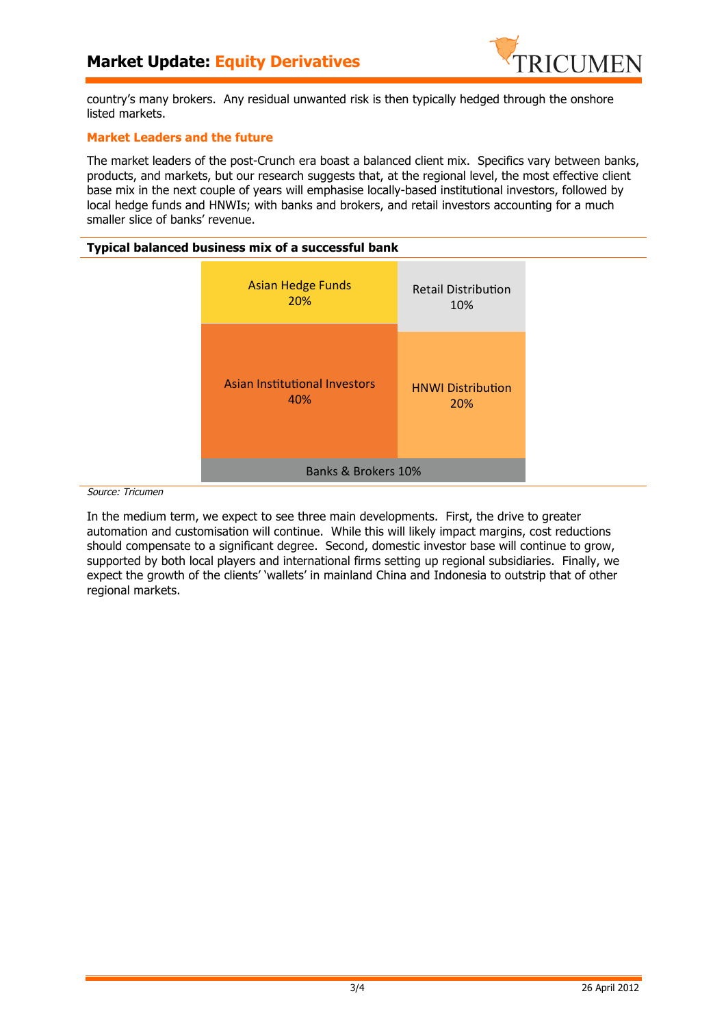

country's many brokers. Any residual unwanted risk is then typically hedged through the onshore listed markets.

# **Market Leaders and the future**

The market leaders of the post-Crunch era boast a balanced client mix. Specifics vary between banks, products, and markets, but our research suggests that, at the regional level, the most effective client base mix in the next couple of years will emphasise locally-based institutional investors, followed by local hedge funds and HNWIs; with banks and brokers, and retail investors accounting for a much smaller slice of banks' revenue.

#### **Typical balanced business mix of a successful bank**



Source: Tricumen

In the medium term, we expect to see three main developments. First, the drive to greater automation and customisation will continue. While this will likely impact margins, cost reductions should compensate to a significant degree. Second, domestic investor base will continue to grow, supported by both local players and international firms setting up regional subsidiaries. Finally, we expect the growth of the clients' 'wallets' in mainland China and Indonesia to outstrip that of other regional markets.